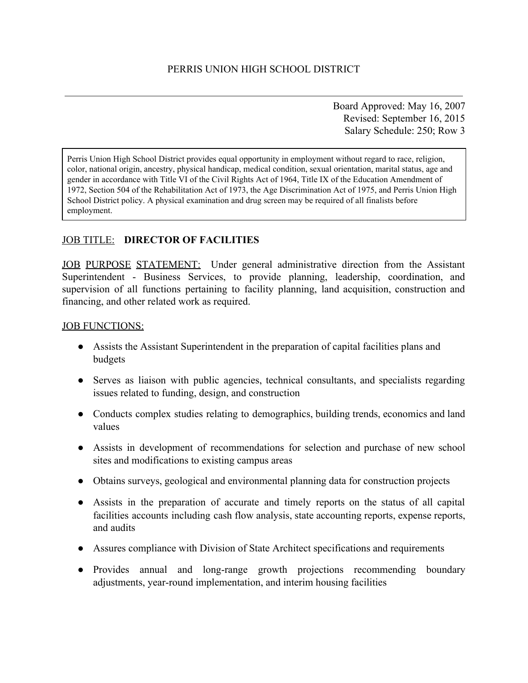Board Approved: May 16, 2007 Revised: September 16, 2015 Salary Schedule: 250; Row 3

Perris Union High School District provides equal opportunity in employment without regard to race, religion, color, national origin, ancestry, physical handicap, medical condition, sexual orientation, marital status, age and gender in accordance with Title VI of the Civil Rights Act of 1964, Title IX of the Education Amendment of 1972, Section 504 of the Rehabilitation Act of 1973, the Age Discrimination Act of 1975, and Perris Union High School District policy. A physical examination and drug screen may be required of all finalists before employment.

# JOB TITLE: **DIRECTOR OF FACILITIES**

JOB PURPOSE STATEMENT: Under general administrative direction from the Assistant Superintendent - Business Services, to provide planning, leadership, coordination, and supervision of all functions pertaining to facility planning, land acquisition, construction and financing, and other related work as required.

#### JOB FUNCTIONS:

- Assists the Assistant Superintendent in the preparation of capital facilities plans and budgets
- Serves as liaison with public agencies, technical consultants, and specialists regarding issues related to funding, design, and construction
- Conducts complex studies relating to demographics, building trends, economics and land values
- Assists in development of recommendations for selection and purchase of new school sites and modifications to existing campus areas
- Obtains surveys, geological and environmental planning data for construction projects
- Assists in the preparation of accurate and timely reports on the status of all capital facilities accounts including cash flow analysis, state accounting reports, expense reports, and audits
- Assures compliance with Division of State Architect specifications and requirements
- Provides annual and long-range growth projections recommending boundary adjustments, year-round implementation, and interim housing facilities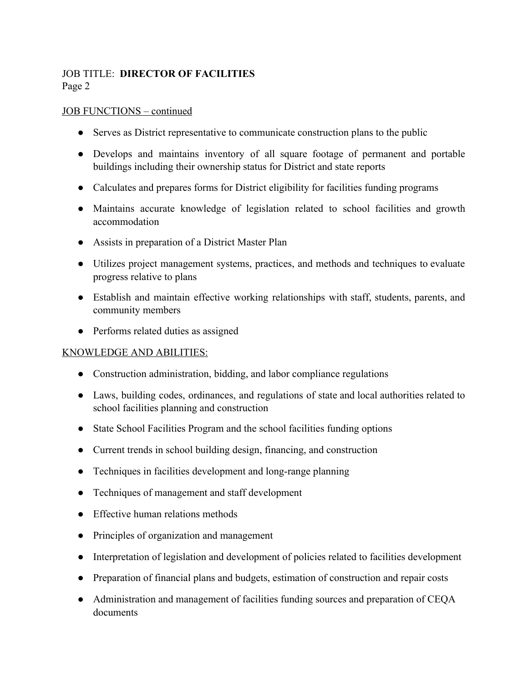# JOB TITLE: **DIRECTOR OF FACILITIES** Page 2

#### JOB FUNCTIONS – continued

- Serves as District representative to communicate construction plans to the public
- Develops and maintains inventory of all square footage of permanent and portable buildings including their ownership status for District and state reports
- Calculates and prepares forms for District eligibility for facilities funding programs
- Maintains accurate knowledge of legislation related to school facilities and growth accommodation
- Assists in preparation of a District Master Plan
- Utilizes project management systems, practices, and methods and techniques to evaluate progress relative to plans
- Establish and maintain effective working relationships with staff, students, parents, and community members
- Performs related duties as assigned

#### KNOWLEDGE AND ABILITIES:

- Construction administration, bidding, and labor compliance regulations
- Laws, building codes, ordinances, and regulations of state and local authorities related to school facilities planning and construction
- State School Facilities Program and the school facilities funding options
- Current trends in school building design, financing, and construction
- Techniques in facilities development and long-range planning
- Techniques of management and staff development
- Effective human relations methods
- Principles of organization and management
- Interpretation of legislation and development of policies related to facilities development
- Preparation of financial plans and budgets, estimation of construction and repair costs
- Administration and management of facilities funding sources and preparation of CEQA documents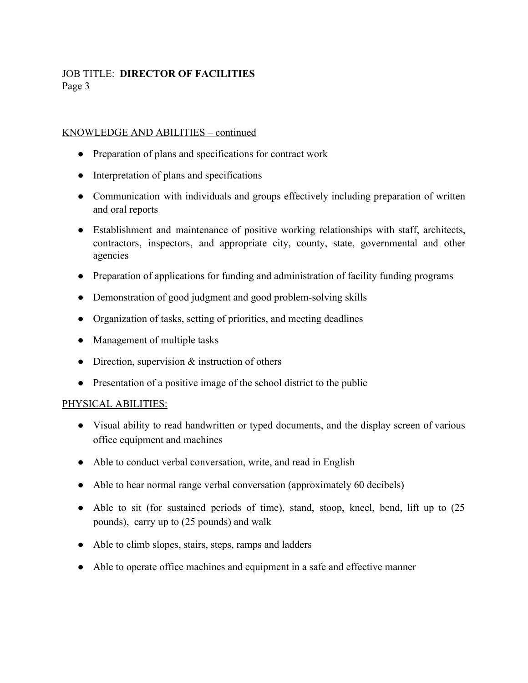# JOB TITLE: **DIRECTOR OF FACILITIES** Page 3

#### KNOWLEDGE AND ABILITIES – continued

- Preparation of plans and specifications for contract work
- Interpretation of plans and specifications
- Communication with individuals and groups effectively including preparation of written and oral reports
- Establishment and maintenance of positive working relationships with staff, architects, contractors, inspectors, and appropriate city, county, state, governmental and other agencies
- Preparation of applications for funding and administration of facility funding programs
- Demonstration of good judgment and good problem-solving skills
- Organization of tasks, setting of priorities, and meeting deadlines
- Management of multiple tasks
- Direction, supervision  $&$  instruction of others
- Presentation of a positive image of the school district to the public

#### PHYSICAL ABILITIES:

- Visual ability to read handwritten or typed documents, and the display screen of various office equipment and machines
- Able to conduct verbal conversation, write, and read in English
- Able to hear normal range verbal conversation (approximately 60 decibels)
- Able to sit (for sustained periods of time), stand, stoop, kneel, bend, lift up to  $(25)$ pounds), carry up to (25 pounds) and walk
- Able to climb slopes, stairs, steps, ramps and ladders
- Able to operate office machines and equipment in a safe and effective manner